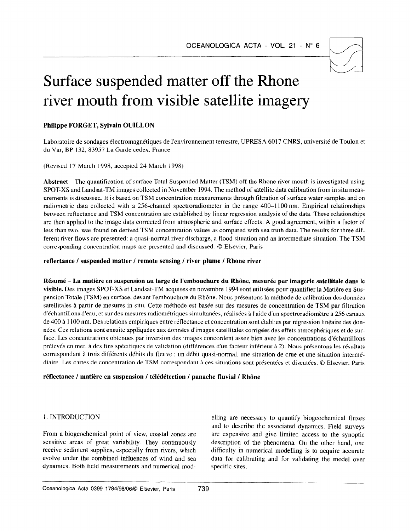# Surface suspended matter off the Rhone river mouth from visible satellite imagery

# Philippe FORGET, Sylvain OUILLON

Laboratoire de sondages electromagnetiques de l'environnement terrestre, UPRESA 6017 CNRS, universite de Toulon et du Var, BP 132,83957 La Garde cedex, France

(Revised 17 March 1998. accepted 24 March 1998)

Abstract – The quantification of surface Total Suspended Matter (TSM) off the Rhone river mouth is investigated using SPOT-XS and Landsat-TM images collected in November 1994. The method of satellite data calibration from in situ measurements is discussed. It is based on TSM concentration measurements through filtration of surface water samples and on radiometric data collected with a 256-channel spectroradiometer in the range 400-I 100 nm. Empirical relationships between reflectance and TSM concentration are established by linear regression analysis of the data. These relationships are then applied to the image data corrected from atmospheric and surface effects. A good agreement, within a factor of less than two, was found on derived TSM concentration values as compared with sea truth data. The results for three different river flows are presented: a quasi-normal river discharge, a flood situation and an intermediate situation. The TSM corresponding concentration maps are presented and discussed. 0 Elsevier, Paris

reflectance / suspended matter / remote sensing / river plume / Rhone river

Résumé - La matière en suspension au large de l'embouchure du Rhône, mesurée par imagerie satellitale dans le visible. Des images SPOT-XS et Landsat-TM acquises en novembre 1994 sont utilisées pour quantifier la Matière en Suspension Totale (TSM) en surface, devant l'embouchure du Rhône. Nous présentons la méthode de calibration des données satellitales à partir de mesures in situ. Cette méthode est basée sur des mesures de concentration de TSM par filtration d'echantillons d'eau, et sur des mesures radiometriques simultanees. realisees a I'aide d'un spectroradiometre a 256 canaux de 400 à 1100 nm. Des relations empiriques entre réflectance et concentration sont établies par régression linéaire des dontrees. Ces relations sont ensuite appliquees aux donnees d'images satellitales corrigees des effets atmospheriques et de surface. Les concentrations obtenues par inversion des images concordent assez bien avec les concentrations d'échantillons prélevés en mer, à des fins spécifiques de validation (différences d'un facteur inférieur à 2). Nous présentons les résultats correspondant a trois differents debits du fleuve : un debit quasi-normal, une situation de true et une situation intermediaire. Les cartes de concentration de TSM correspondant à ces situations sont présentées et discutées. © Elsevier, Paris

## réflectance / matière en suspension / télédétection / panache fluvial / Rhône

From a biogeochemical point of view, coastal zones are From a biogeochemical point of view, coastal zones are are expensive and give limited access to the synoptic sensitive areas of great variability. They continuously description of the phenomena. On the other hand, one receive sediment supplies, especially from rivers, which receive sediment supplies, especially from rivers, which difficulty in numerical modelling is to acquire accurate evolve under the combined influences of wind and sea data for calibrating and for validating the model over dynamics. Both field measurements and numerical mod- specific sites.

1. INTRODUCTION elling are necessary to quantify biogeochemical fluxes and to describe the associated dynamics. Field surveys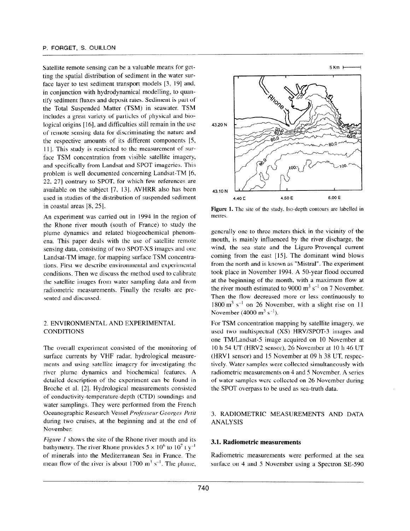Satellite remote sensing can be a valuable means for getting the spatial distribution of sediment in the water surface layer to test sediment transport models [3, 19] and, in conjunction with hydrodynamical modelling, to quantify sediment fluxes and deposit rates. Sediment is part of the Total Suspended Matter (TSM) in seawater. TSM includes a great variety of particles of physical and biological origins [16], and difficulties still remain in the use of remote sensing data for discriminating the nature and the respective amounts of its different components [S, 11. This study is restricted to the measurement of surface TSM concentration from visible satellite imagery, and specifically from Landsat and SPOT imageries. This problem is well documented concerning Landsat-TM [6, 22, 271 contrary to SPOT, for which few references are available on the subject [7, 13]. AVHRR also has been used in studies of the distribution of suspended sediment in coastal areas  $[8, 25]$ .

An experiment was carried out in 1994 in the region of the Rhone river mouth (south of France) to study the plume dynamics and related biogeochemical phenomena. This paper deals with the use of satellite remote sensing data, consisting of two SPOT-XS images and one Landsat-TM image. for mapping surface TSM concentrations. First we describe environmental and experimental conditions. Then we discuss the method used to calibrate the satellite images from water sampling data and from radiometric measurements. Finally the results are presented and discussed.

#### 2. ENVIRONMENTAL AND EXPERIMENTAL CONDITIONS

The overall experiment consisted of the monitoring of surface currents by VHF radar, hydrological measurements and using satellite imagery for investigating the river plume dynamics and biochemical features. A detailed description of the experiment can be found in Broche et al. [2]. Hydrological measurements consisted of conductivity-temperature-depth (CTD) soundings and water samplings. They were performed from the French Oceanographic Research Vessel Professeur Georges-Petit during two cruises, at the beginning and at the end of November.

Figure 1 shows the site of the Rhone river mouth and its bathymetry. The river Rhone provides  $5 \times 10^6$  to  $10^7$  t y<sup>-1</sup> of minerals into the Mediterranean Sea in France. The mean flow of the river is about 1700  $\text{m}^3$  s<sup>-1</sup>. The plume,



Figure 1. The site of the study. Iso-depth contours are labelled in metres.

generally one to three meters thick in the vicinity of the mouth, is mainly influenced by the river discharge. the wind, the sea state and the Liguro-Provençal current coming from the east [15]. The dominant wind blows from the north and is known as "Mistral". The experiment took place in November 1994. A 50-year flood occurred at the beginning of the month, with a maximum flow at the river mouth estimated to 9000  $\text{m}^3$  s<sup>-1</sup> on 7 November. Then the flow decreased more or less continuously to  $1800 \text{ m}^3 \text{ s}^{-1}$  on 26 November, with a slight rise on 11 November (4000 m<sup>3</sup> s<sup>-1</sup>).

For TSM concentration mapping by satellite imagery, we used two multispectral (XS) HRV/SPOT-3 images and one TM/Landsat-5 image acquired on 10 November at 10 h 54 UT (HRV2 sensor), 26 November at IO h 46 UT (HRVl sensor) and 15 November at 09 h 38 UT, respectively. Water samples were collected simultaneously with radiometric measurements on 4 and 5 November. A series of water samples were collected on 26 November during the SPOT overpass to be used as sea-truth data.

#### 3. RADIOMETRIC MEASUREMENTS AND DATA ANALYSIS

#### 3.1. Radiometric measurements

Radiometric measurements were performed at the sea surface on 4 and 5 November using a Spectron SE-590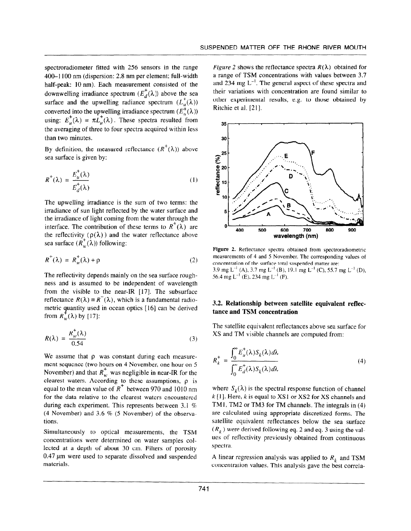spectroradiometer fitted with 256 sensors in the range 400-I 100 nm (dispersion: 2.8 nm per element; full-width half-peak: 10 nm). Each measurement consisted of the downwelling irradiance spectrum  $(E_d^{\dagger}(\lambda))$  above the sea surface and the upwelling radiance spectrum  $(L_u^+(\lambda))$ converted into the upwelling irradiance spectrum  $(E_n^+(\lambda))$ using:  $E_u^+(\lambda) = \pi L_u^+(\lambda)$ . These spectra resulted from the averaging of three to four spectra acquired within less than two minutes.

By definition, the measured reflectance  $(R^+(\lambda))$  above sea surface is given by:

$$
R^+(\lambda) = \frac{E_u^+(\lambda)}{E_d^+(\lambda)}\tag{1}
$$

The upwelling irradiance is the sum of two terms: the irradiance of sun light reflected by the water surface and the irradiance of light coming from the water through the interface. The contribution of these terms to  $R^{\dagger}(\lambda)$  are the reflectivity  $(\rho(\lambda))$  and the water reflectance above sea surface  $(R_w^+(\lambda))$  following:

$$
R^{+}(\lambda) = R_{w}^{+}(\lambda) + \rho \tag{2}
$$

The reflectivity depends mainly on the sea surface roughness and is assumed to be independent of wavelength from the visible to the near-IR [17]. The subsurface reflectance  $R(\lambda) = R^{-}(\lambda)$ , which is a fundamental radiometric quantity used in ocean optics [16] can be derived from  $R_w^+(\lambda)$  by [17]:

$$
R(\lambda) = \frac{R_w^+(\lambda)}{0.54}
$$
 (3)

We assume that  $\rho$  was constant during each measurement sequence (two hours on 4 November, one hour on 5 November) and that  $B^{\dagger}$ , was negligible in near-IR for the clearest waters. According to these assumptions,  $\rho$  is equal to the mean value of  $R^+$  between 970 and 1010 nm for the data relative to the clearest waters encountered during each experiment. This represents between 3.1 %  $(4 \text{ November})$  and  $3.6$  % (5 November) of the observation  $\frac{1}{2}$ 

Simultaneously to optical measurements, the TSM concentrations were determined on water samples col- $\frac{1}{2}$  dependent of a depth of a depth of porosity  $\frac{1}{2}$  $\frac{1}{2}$  polynomia and suspended to separate dissolved and suspended and suspended and suspended and suspended and suspended and suspended and suspended and suspended and suspended and suspended and suspended and suspend 0.47 µm were used to separate dissolved and suspended materials.

Figure 2 shows the reflectance spectra  $R(\lambda)$  obtained for a range of TSM concentrations with values between 3.7 and 234 mg  $L^{-1}$ . The general aspect of these spectra and their variations with concentration are found similar to other experimental results, e.g. to those obtained by Ritchie et al. [21].



Figure 2. Reflectance spectra obtained from spectroradiometric measurements of 4 and 5 November. The corresponding values ot concentration of the surface total suspended matter are: 3.9 mg L<sup>-1</sup> (A), 3.7 mg L<sup>-1</sup> (B), 19.1 mg L<sup>-1</sup> (C), 55.7 mg L<sup>-1</sup> (D), 56.4 mg  $L^{-1}$  (E), 234 mg  $L^{-1}$  (F).

#### 3.2. Relationship between satellite equivalent refiectance and TSM concentration

The satellite equivalent reflectances above sea surface for XS and TM visible channels are computed from:

$$
R_k^+ = \frac{\int_0^\infty E_u^+(\lambda) S_k(\lambda) d\lambda}{\int_0^\infty E_d^+(\lambda) S_k(\lambda) d\lambda}
$$
 (4)

where  $S_k(\lambda)$  is the spectral response function of channel  $k[1]$ . Here, k is equal to XS1 or XS2 for XS channels and TM1, TM2 or TM3 for TM channels. The integrals in (4)  $\frac{1}{2}$  are calculated using appropriate discretized for  $\frac{1}{2}$  and  $\frac{1}{2}$  and  $\frac{1}{2}$  and  $\frac{1}{2}$ are carefulated using appropriate discretized forms. The satellite equivalent reflectances below the sea surface  $(R_k)$  were derived following eq. 2 and eq. 3 using the values of reflectivity previously obtained from continuous spectra.

A linear regression and  $\mathbf{A}$  is a positive to R, and TSM and TSM analysis was applied to R, and TSM and TSM and TSM and TSM and TSM and TSM analysis was applied to R, and TSM and TSM analysis was applied to R, and TSM  $\alpha$  incarriegies. The analysis was applied to  $\kappa_k$  and  $\iota$  sixt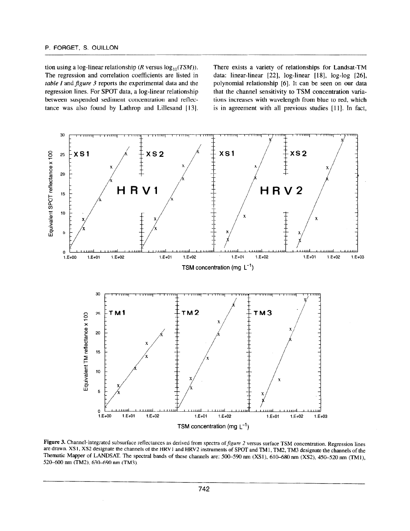tion using a log-linear relationship (R versus  $log_{10}(TSM)$ ). There exists a variety of relationships for Landsat-TM The regression and correlation coefficients are listed in data: linear-linear [22], log-linear [18], log-log [26], table I and figure 3 reports the experimental data and the polynomial relationship  $[6]$ . It can be seen on our data regression lines. For SPOT data, a log-linear relationship that the channel sensitivity to TSM concentration variabetween suspended sediment concentration and reflec- tions increases with wavelength from blue to red, which tance was also found by Lathrop and Lillesand [13]. is in agreement with all previous studies [11]. In fact,



**Figure 3.** Channel-integrated subsurface reflectances as derived from spectra of *Jigure 2* versus surface TSM concentration. Regression lines are drawn. XS1, XS2 designate the channels of the HRV1 and HRV2 instruments of SPOT and TM1, TM2, TM3 designate the channels of the Thematic Mapper of LANDSAT. The spectral bands of these channels are:  $500-590$  nm (XS1),  $610-680$  nm (XS2),  $450-520$  nm (TM1),  $520-600$  nm (TM2),  $630-690$  nm (TM3).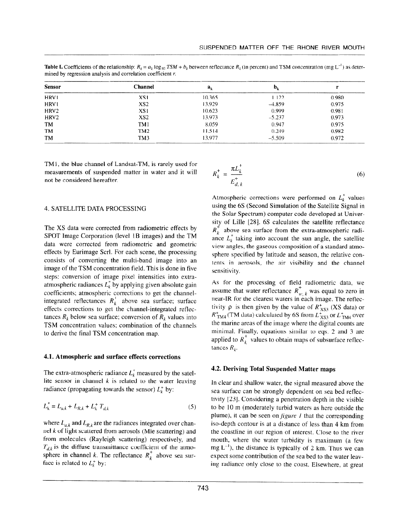**Table I.** Coefficients of the relationship:  $R_k = a_k \log_{10} TSM + b_k$  between reflectance  $R_k$  (in percent) and TSM concentration (mg L<sup>-1</sup>) as determined by regression analysis and correlation coefficient  $r$ .

| <b>Sensor</b>    | <b>Channel</b>  | $a_k$  | ${\bf p}^{\prime}$ |       |
|------------------|-----------------|--------|--------------------|-------|
| HRV <sub>1</sub> | XS1             | 10.365 | 1.122              | 0.980 |
| HRV1             | XS <sub>2</sub> | 13.929 | $-4.859$           | 0.975 |
| HRV <sub>2</sub> | XS1             | 10.623 | 0.999              | 0.981 |
| HRV <sub>2</sub> | XS <sub>2</sub> | 13.973 | $-5.237$           | 0.973 |
| TM               | TM1             | 8.059  | 0.947              | 0.975 |
| TM               | TM <sub>2</sub> | 11.514 | 0.249              | 0.982 |
| TM               | TM3             | 13.977 | $-5.509$           | 0.972 |

TM1, the blue channel of Landsat-TM, is rarely used for measurements of suspended matter in water and it will not be considered hereafter.

$$
R_k^+ = \frac{\pi L_k^+}{E_{d,k}^+}
$$
 (6)

#### 4. SATELLITE DATA PROCESSING

The XS data were corrected from radiometric effects by SPOT Image Corporation (level 1B images) and the TM data were corrected from radiometric and geometric effects by Eurimage Scrl. For each scene, the processing consists of converting the multi-band image into an image of the TSM concentration field. This is done in five steps: conversion of image pixel intensities into extraatmospheric radiances  $L_k^*$  by applying given absolute gain coefficients; atmospheric corrections to get the channelintegrated reflectances  $R_k^+$  above sea surface; surface effects corrections to get the channel-integrated reflectances  $R_k$  below sea surface; conversion of  $R_k$  values into TSM concentration values; combination of the channels to derive the final TSM concentration map.

#### 4.1. Atmospheric and surface effects corrections

The extra-atmospheric radiance  $L_k^*$  measured by the satellite sensor in channel  $k$  is related to the water leaving radiance (propagating towards the sensor)  $L_k^+$  by:

$$
L_k^* = L_{a,k} + L_{R,k} + L_k^+ T_{d,k}
$$
 (5)

where  $L_{a,k}$  and  $L_{R,k}$  are the radiances integrated over channel k of light scattered from aerosols (Mie scattering) and from molecules (Rayleigh scattering) respectively, and  $T_{\text{tot}}$  is the diffuse transmittance coefficient of the  $\alpha$  $\epsilon_{d,k}$  is the directe dimensional coefficient of the differential sphere in channel k. The reflectance  $R_k^+$  above sea surface is related to  $L_k^+$  by:

Atmospheric corrections were performed on  $L<sub>k</sub><sup>*</sup>$  values using the 6s (Second Simulation of the Satellite Signal in the Solar Spectrum) computer code developed at University of Lille [28]. 6S calculates the satellite reflectance  $R_k^{\dagger}$  above sea surface from the extra-atmospheric radiance  $L_k^*$  taking into account the sun angle, the satellite view angles, the gaseous composition of a standard atmosphere specified by latitude and season, the relative contents in aerosols, the air visibility and the channel sensitivity.

As for the processing of field radiometric data, we assume that water reflectance  $R_{w, k}^+$  was equal to zero in near-IR for the clearest waters in each image. The retlectivity  $\rho$  is then given by the value of  $R_{XSS}^{+}$  (XS data) or  $R_{\text{TM4}}^{\text{+}}$  (TM data) calculated by 6S from  $L_{\text{XSS}}^{\text{+}}$  or  $L_{\text{TM4}}^{\text{+}}$  over the marine areas of the image where the digital counts are minimal. Finally, equations similar to cqs. 2 and 3 are applied to  $R_k^+$  values to obtain maps of subsurface reflectances  $R_k$ .

#### 4.2. Deriving Total Suspended Matter maps

In clear and shallow water, the signal measured above the sea surface can be strongly dependent on sea bed reflectivity 1231. Considering a penetration depth in the visible to be IO m (moderately turbid waters as here outside the plume), it can be seen on  $figure\ I$  that the corresponding  $\mu$  and  $\mu$  can be seen on  $\mu$  and the corresponding the coastline in our region of interest. Close to the rivet the coastline in our region of interest. Close to the river mouth, where the water turbidity is maximum (a few  $mg L^{-1}$ , the distance is typically of 2 km. Thus we can expect some contribution of the sea bed to the water leaving radiance only close to the coast. Elsewhere, at great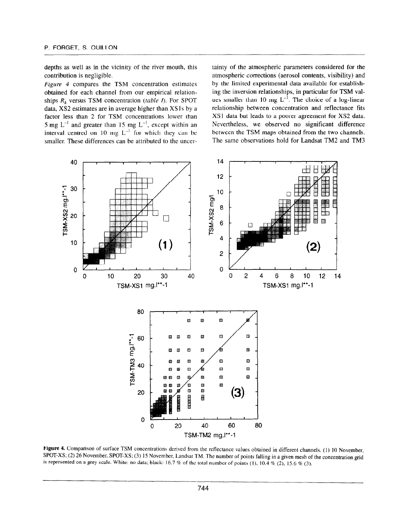depths as well as in the vicinity of the river mouth, this contribution is negligible.

Figure 4 compares the TSM concentration estimates obtained for each channel from our empirical relationships  $R_k$  versus TSM concentration (table I). For SPOT data, XS2 estimates are in average higher than XS1s by a factor less than 2 for TSM concentrations lower than 5 mg  $L^{-1}$  and greater than 15 mg  $L^{-1}$ , except within an interval centred on 10 mg  $L^{-1}$  for which they can be smaller. These differences can be attributed to the uncertainty of the atmospheric parameters considered for the atmospheric corrections (aerosol contents, visibility) and by the limited experimental data available for establishing the inversion relationships, in particular for TSM values smaller than 10 mg  $L^{-1}$ . The choice of a log-linear relationship between concentration and reflectance fits XSl data but leads to a poorer agreement for XS2 data. Nevertheless, we observed no significant difference between the TSM maps obtained from the two channels. The same observations hold for Landsat TM2 and TM3



**SECOT-X** Comparison of surface TSM concentrations derived from the reflectance values obtained in different channels, (1) 10 November SPOT-XS; (2) 26 November, SPOT-XS; (3) 15 November, Landsat TM. The number of points falling in a given mesh of the concentration grid is represented on a grey scale. White: no data; black: 16.7 % of the total number of p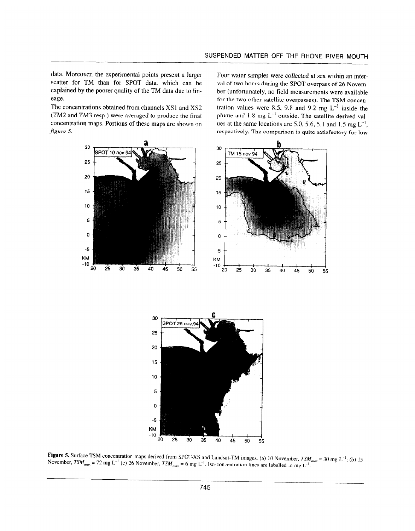data. Moreover, the experimental points present a larger scatter for TM than for SPOT data, which can be explained by the poorer quality of the TM data due to lineage.

The concentrations obtained from channels XS1 and XS2 (TM2 and TM3 resp.) were averaged to produce the final concentration maps. Portions of these maps are shown on figure 5.

Four water samples were collected at sea within an interval of two hours during the SPOT overpass of 26 November (unfortunately, no field measurements were available for the two other satellite overpasses). The TSM concentration values were 8.5, 9.8 and 9.2 mg  $L^{-1}$  inside the plume and  $1.8 \text{ mg } L^{-1}$  outside. The satellite derived values at the same locations are 5.0, 5.6, 5.1 and 1.5 mg  $L^{-1}$ , respectively. The comparison is quite satisfactory for low



 $\mathbf{F}_{\text{SPPM}} \in \mathcal{S}_{\text{SPPM}}$  and  $\mathcal{S}_{\text{SPPM}}$  and Landsat-TSM, november, TSM,  $\frac{S_{\text{max}}}{N}$  contract is set of  $\frac{S_{\text{max}}}{N}$  and  $\frac{S_{\text{max}}}{N}$  matrice in matrix and lands at labelled in matrix and  $\frac{S_{\text{max}}}{N}$ 

35

 $\frac{1}{20}$   $\frac{1}{20}$   $\frac{1}{20}$   $\frac{1}{20}$   $\frac{1}{20}$   $\frac{1}{20}$   $\frac{1}{20}$   $\frac{1}{20}$   $\frac{1}{20}$   $\frac{1}{20}$   $\frac{1}{20}$   $\frac{1}{20}$   $\frac{1}{20}$   $\frac{1}{20}$   $\frac{1}{20}$   $\frac{1}{20}$   $\frac{1}{20}$   $\frac{1}{20}$   $\frac{1}{20}$   $\frac{1}{20}$ 

KM -10

 $\mathbf 0$ 

 $-5$ 

 $20$ 

 $\overline{25}$ 

 $30<sub>o</sub>$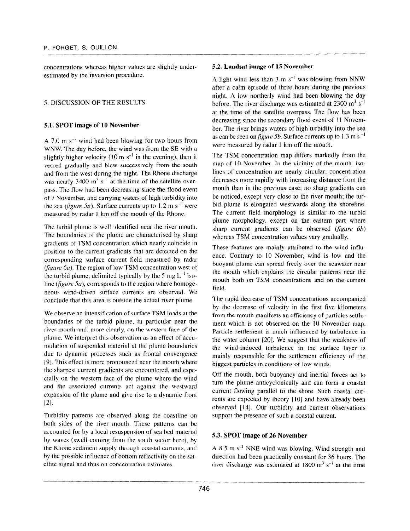concentrations whereas higher values are slightly underestimated by the inversion procedure.

# 5. DISCUSSION OF THE RESULTS

## 5.1. SPOT image of 10 November

A 7.0 m  $s^{-1}$  wind had been blowing for two hours from WNW. The day before, the wind was from the SE with a slightly higher velocity (10 m  $s^{-1}$  in the evening), then it veered gradually and blew successively from the south and from the west during the night. The Rhone discharge was nearly 3400  $\text{m}^3$  s<sup>-1</sup> at the time of the satellite overpass. The flow had been decreasing since the flood event of 7 November, and carrying waters of high turbidity into the sea (figure 5a). Surface currents up to 1.2 m s<sup>-1</sup> were measured by radar 1 km off the mouth of the Rhone.

The turbid plume is well identified near the river mouth. The boundaries of the plume are characterised by sharp gradients of TSM concentration which nearly coincide in position to the current gradients that are detected on the corresponding surface current field measured by radar (figure  $6a$ ). The region of low TSM concentration west of the turbid plume, delimited typically by the 5 mg  $L^{-1}$  isoline (figure 5a), corresponds to the region where homogeneous wind-driven surface currents are observed. We conclude that this area is outside the actual river plume.

We observe an intensification of surface TSM loads at the boundaries of the turbid plurne, in particular near the river mouth and. more clearly, on the western face of the plume. We interpret this observation as an effect of accumulation of suspended material at the plume boundaries due to dynamic processes such as frontal convergence 191. This effect is more pronounced near the mouth where the sharpest current gradients are encountered, and especially on the western face of the plume where the wind and the associated currents act against the westward expansion of the plume and give rise to a dynamic front 121.

Turbidity patterns are observed along the coastline on both sides of the river mouth. These patterns can be accounted for by a local resuspension of sea bed material by waves (swell coming from the south sector here). by by waves (swen coming from the south sector nere), by  $\mu$  is the positivity of both reflectivity of  $\mu$  and  $\mu$  and the saturation  $\mu$ by the possible influence of bottom reflectivity on the satellite signal and thus on concentration estimates.

#### 5.2. Landsat image of 15 November

A light wind less than 3 m  $s^{-1}$  was blowing from NNW after a calm episode of three hours during the previous night. A low northerly wind had been blowing the day before. The river discharge was estimated at  $2300 \text{ m}^3 \text{ s}^{-1}$ at the time of the satellite overpass. The flow has been decreasing since the secondary flood event of I1 November. The river brings waters of high turbidity into the sea as can be seen on figure 5b. Surface currents up to 1.3 m s<sup> $-1$ </sup> were measured by radar 1 km off the mouth.

The TSM concentration map differs markedly from the map of 10 November. In the vicinity of the mouth. isolines of concentration are nearly circular; concentration decreases more rapidly with increasing distance from the mouth than in the previous case; no sharp gradients can be noticed, except very close to the river mouth; the turbid plume is elongated westwards along the shoreline. The current field morphology is similar to the turbid plume morphology, except on the eastern part where sharp current gradients can be observed  $(figure 6b)$ whereas TSM concentration values vary gradually.

These features are mainly attributed to the wind influence. Contrary to IO November, wind is low and the buoyant plume can spread freely over the seawater near the mouth which explains the circular patterns near the mouth both on TSM concentrations and on the current field.

The rapid decrease of TSM concentrations accompanied by the decrease of velocity in the first five kilometers from the mouth manifests an efficiency of particles settlement which is not observed on the IO November map. Particle settlement is much influenced by turbulence in the water column [201. We suggest that the weakness of the wind-induced turbulence in the surface layer is mainly responsible for the settlement efficiency of the biggest particles in conditions of low winds,

Off the mouth, both buoyancy and inertial forces act to turn the plume anticyclonically and can form a coastal current flowing parallel to the shore. Such coastal currents are expected by theory [IO] and have already been observed [ 14). Our turbidity and current observations support the presence of such a coastal current.

## 5.3. SPOT image of 26 November

 $\overline{A}$  8.5 m  $\overline{B}$  NNE wind was blowing. Wind strength and strength and strength and strength and strength and strength and strength and strength and strength and strength and strength and strength and strength and s  $d_1$  of  $d_2$  in  $s$  and the wind was blowing. While such guaranteed  $f(x)$ direction had been practically constant for 36 hours. The river discharge was estimated at 1800 m<sup>3</sup> s<sup>-1</sup> at the time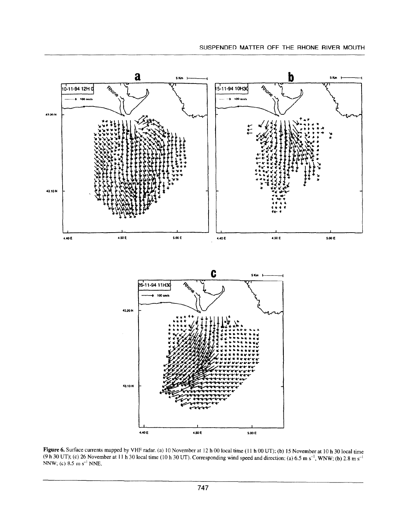

 $\frac{1}{2}$  such a speed at 10 h 30 local time (10 h 30 local time (10 h 30 local time (11 h 30 UT), (b) 13 m ovember at 10 h 30 local time  $N = 1000$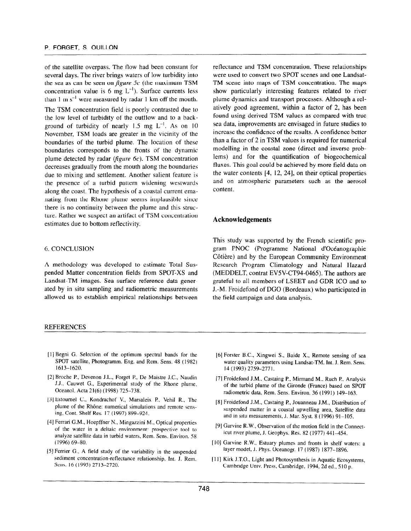of the satellite overpass. The flow had been constant for several days. The river brings waters of low turbidity into the sea as can be seen on *figure*  $5c$  (the maximum TSM concentration value is 6 mg  $L^{-1}$ ). Surface currents less than 1 m  $s^{-1}$  were measured by radar 1 km off the mouth. The TSM concentration field is poorly contrasted due to the low level of turbidity of the outflow and to a background of turbidity of nearly  $1.5$  mg  $L^{-1}$ . As on  $10$ November, TSM loads are greater in the vicinity of the boundaries of the turbid plume. The location of these boundaries corresponds to the fronts of the dynamic plume detected by radar ( $figure~6c$ ). TSM concentration decreases gradually from the mouth along the boundaries due to mixing and settlement. Another salient feature is the presence of a turbid pattern widening westwards along the coast. The hypothesis of a coastal current emanating from the Rhone plume seems implausible since there is no continuity between the plume and this structure. Rather we suspect an artifact of TSM concentration estimates due to bottom reflectivity.

#### 6. CONCLUSION

A methodology was developed to estimate Total Suspended Matter concentration fields from SPOT-XS and Landsat-TM images. Sea surface reference data generated by in situ sampling and radiometric measurements allowed us to establish empirical relationships between

#### REFERENCES

- [1] Begni G. Selection of the optimum spectral bands for the SPOT satellite, Photogramm. Eng. and Rem. Sens. 48 (1982) 31 01 Satemie,<br>1612-1620.
- 121 Broche P., Devenon J.L., Forget P., De Maistre J.C., Naudin  $\sigma$  D.J., Experimental study of the Rhone plume,  $\sigma$  and  $\sigma$  the  $\sigma$  the  $\sigma$ J.J., Cauwet G., Experimental study of the Rhone plume, Oceanol. Acta 21(6) (1998) 725-738.
- $131$  Estonian C.,  $16$ ,  $W$ ,  $16$ ,  $16$ ,  $16$ ,  $16$ ,  $16$ ,  $16$ ,  $16$ ,  $16$ ,  $16$ ,  $16$ ,  $16$ ,  $16$ ,  $16$ ,  $16$ ,  $16$ ,  $16$ ,  $16$ ,  $16$ ,  $16$ ,  $16$ ,  $16$ ,  $16$ ,  $16$ ,  $16$ ,  $16$ ,  $16$ ,  $16$ ,  $16$ ,  $16$ ,  $16$ ,  $16$ ,  $16$ ,  $p_{\text{in}}$  behavior simulations and remote senseplume of the Rhône: numerical simulations and remote sensing, Cont. Shelf Res. 17 (1997) 899–924.
- $\frac{1}{2}$ *i* crian G.m., Hocphild Tv., *mingazzini m.*, Optical properties of the water in a deltaic environment: prospective tool to analyze satellite data in turbid waters, Rem. Sens. Environ. 58 (1996) 69-80.  $\mathbf{S}_{\mathbf{S}}$  field study of the variability in the variability in the suspended study in the suspended study in the suspended study in the suspended study in the suspended study in the suspended study in the suspended s
- $\Gamma$  criter  $\sigma$ . A field study of the variability in the suspended sediment concentration-reflectance relationship, Int. J. Rem.<br>Sens. 16 (1995) 2713-2720.

reflectance and TSM concentration. These relationships were used to convert two SPOT scenes and one Landsat-TM scene into maps of TSM concentration. The maps show particularly interesting features related to river plume dynamics and transport processes. Although a relatively good agreement, within a factor of 2, has been found using derived TSM values as compared with true sea data, improvements are envisaged in future studies to increase the confidence of the results. A confidence better than a factor of 2 in TSM values is required for numerical modelling in the coastal zone (direct and inverse problems) and for the quantification of biogeochemical fluxes. This goal could be achieved by more field data on the water contents  $[4, 12, 24]$ , on their optical properties and on atmospheric parameters such as the aerosol content.

#### Acknowledgements

This study was supported by the French scientific program PNOC (Programme National d'Océanographie Côtière) and by the European Community Environment Research Program Climatology and Natural Hazard (MEDDELT, contrat EVSV-CT94-0465). The authors are grateful to all members of LSEET and GDR ICO and to J.-M. Froidefond of DC0 (Bordeaux) who participated in the field campaign and data analysis.

- [6] Forster B.C., Xingwei S., Baide X., Remote sensing of sea water quality parameters using Landsat-TM, Int. J. Rem. Sens. 14 (1993) 2759-2771.
- [7]  $\frac{1}{2}$  Froidefond J.M.,  $\frac{1}{2}$  Castains P., Mirmand M., Ruth P., Analysis state of the turbid plume of the Giron manufacture, the Giron Muslim based on Spotlands on Spotlands and SPOTLA parties of the turbid plume of the Gironde (France) based on SPOT radiometric data, Rem. Sens. Environ. 36 (1991) 149-163.
- [8] Froidefond J.M., Castaing P., Jouanneau J.M., Distribution of suspended matter castaing 1., Jouanneau J.M., Distribution of suspended matter in a coastal upwelling area, Satellite [9] Garvine R.W., Observation of the motion field in the Connect-
- $\alpha$  vine  $\mathbf{R}, \mathbf{w}$ , Observation of the motion field in the [IO] Garvine R.W., Estuary plumes and fronts in shelf waters: a
- Garvine R.W., Estuary plumes and fronts in shelf v [ 111 Kirk J.T.O., Light and Photosynthesis in Aquatic Ecosystems,
- KILM J. L.O., Light and Photosynthesis in Aquatic Ecosys